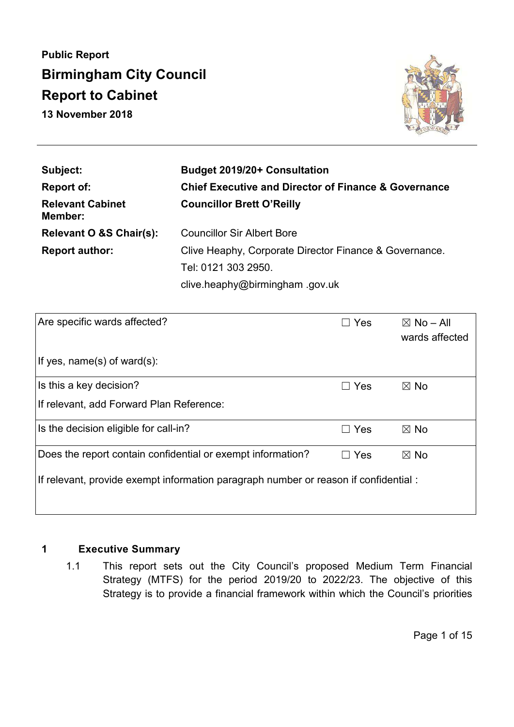**Public Report Birmingham City Council Report to Cabinet 13 November 2018** 



| Subject:                           | <b>Budget 2019/20+ Consultation</b>                             |  |  |  |
|------------------------------------|-----------------------------------------------------------------|--|--|--|
| Report of:                         | <b>Chief Executive and Director of Finance &amp; Governance</b> |  |  |  |
| <b>Relevant Cabinet</b><br>Member: | <b>Councillor Brett O'Reilly</b>                                |  |  |  |
| <b>Relevant O &amp;S Chair(s):</b> | <b>Councillor Sir Albert Bore</b>                               |  |  |  |
| <b>Report author:</b>              | Clive Heaphy, Corporate Director Finance & Governance.          |  |  |  |
|                                    | Tel: 0121 303 2950.                                             |  |  |  |
|                                    | clive.heaphy@birmingham.gov.uk                                  |  |  |  |

| Are specific wards affected?                                                         | $\Box$ Yes    | $\boxtimes$ No – All<br>wards affected |  |  |  |  |
|--------------------------------------------------------------------------------------|---------------|----------------------------------------|--|--|--|--|
| If yes, name(s) of ward(s):                                                          |               |                                        |  |  |  |  |
| Is this a key decision?                                                              | $\Box$ Yes    | $\boxtimes$ No                         |  |  |  |  |
| If relevant, add Forward Plan Reference:                                             |               |                                        |  |  |  |  |
| Is the decision eligible for call-in?                                                | Yes<br>$\Box$ | $\boxtimes$ No                         |  |  |  |  |
| Does the report contain confidential or exempt information?                          | Yes           | $\boxtimes$ No                         |  |  |  |  |
| If relevant, provide exempt information paragraph number or reason if confidential : |               |                                        |  |  |  |  |

## **1 Executive Summary**

1.1 This report sets out the City Council's proposed Medium Term Financial Strategy (MTFS) for the period 2019/20 to 2022/23. The objective of this Strategy is to provide a financial framework within which the Council's priorities

Page 1 of 15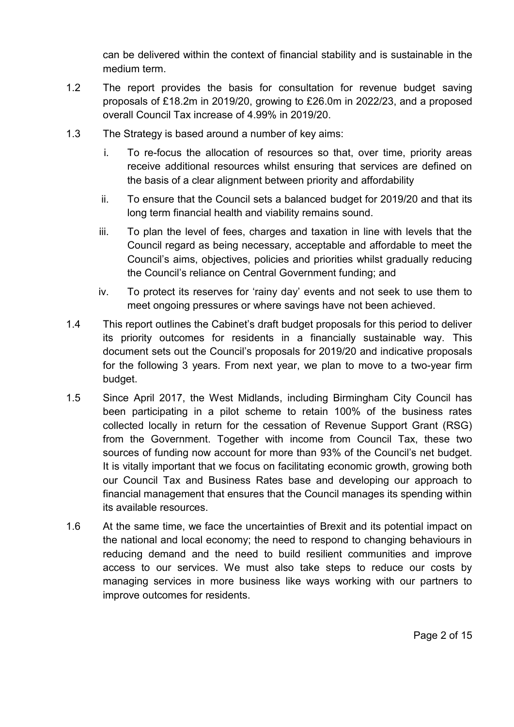can be delivered within the context of financial stability and is sustainable in the medium term.

- 1.2 The report provides the basis for consultation for revenue budget saving proposals of £18.2m in 2019/20, growing to £26.0m in 2022/23, and a proposed overall Council Tax increase of 4.99% in 2019/20.
- 1.3 The Strategy is based around a number of key aims:
	- i. To re-focus the allocation of resources so that, over time, priority areas receive additional resources whilst ensuring that services are defined on the basis of a clear alignment between priority and affordability
	- ii. To ensure that the Council sets a balanced budget for 2019/20 and that its long term financial health and viability remains sound.
	- iii. To plan the level of fees, charges and taxation in line with levels that the Council regard as being necessary, acceptable and affordable to meet the Council's aims, objectives, policies and priorities whilst gradually reducing the Council's reliance on Central Government funding; and
	- iv. To protect its reserves for 'rainy day' events and not seek to use them to meet ongoing pressures or where savings have not been achieved.
- 1.4 This report outlines the Cabinet's draft budget proposals for this period to deliver its priority outcomes for residents in a financially sustainable way. This document sets out the Council's proposals for 2019/20 and indicative proposals for the following 3 years. From next year, we plan to move to a two-year firm budget.
- 1.5 Since April 2017, the West Midlands, including Birmingham City Council has been participating in a pilot scheme to retain 100% of the business rates collected locally in return for the cessation of Revenue Support Grant (RSG) from the Government. Together with income from Council Tax, these two sources of funding now account for more than 93% of the Council's net budget. It is vitally important that we focus on facilitating economic growth, growing both our Council Tax and Business Rates base and developing our approach to financial management that ensures that the Council manages its spending within its available resources.
- 1.6 At the same time, we face the uncertainties of Brexit and its potential impact on the national and local economy; the need to respond to changing behaviours in reducing demand and the need to build resilient communities and improve access to our services. We must also take steps to reduce our costs by managing services in more business like ways working with our partners to improve outcomes for residents.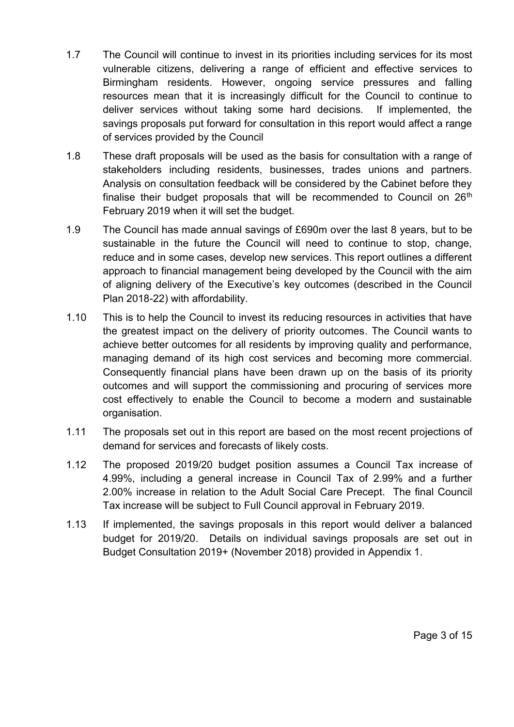- 1.7 The Council will continue to invest in its priorities including services for its most vulnerable citizens, delivering a range of efficient and effective services to Birmingham residents. However, ongoing service pressures and falling resources mean that it is increasingly difficult for the Council to continue to deliver services without taking some hard decisions. If implemented, the savings proposals put forward for consultation in this report would affect a range of services provided by the Council
- 1.8 These draft proposals will be used as the basis for consultation with a range of stakeholders including residents, businesses, trades unions and partners. Analysis on consultation feedback will be considered by the Cabinet before they finalise their budget proposals that will be recommended to Council on  $26<sup>th</sup>$ February 2019 when it will set the budget.
- 1.9 The Council has made annual savings of £690m over the last 8 years, but to be sustainable in the future the Council will need to continue to stop, change, reduce and in some cases, develop new services. This report outlines a different approach to financial management being developed by the Council with the aim of aligning delivery of the Executive's key outcomes (described in the Council Plan 2018-22) with affordability.
- 1.10 This is to help the Council to invest its reducing resources in activities that have the greatest impact on the delivery of priority outcomes. The Council wants to achieve better outcomes for all residents by improving quality and performance, managing demand of its high cost services and becoming more commercial. Consequently financial plans have been drawn up on the basis of its priority outcomes and will support the commissioning and procuring of services more cost effectively to enable the Council to become a modern and sustainable organisation.
- 1.11 The proposals set out in this report are based on the most recent projections of demand for services and forecasts of likely costs.
- 1.12 The proposed 2019/20 budget position assumes a Council Tax increase of 4.99%, including a general increase in Council Tax of 2.99% and a further 2.00% increase in relation to the Adult Social Care Precept. The final Council Tax increase will be subject to Full Council approval in February 2019.
- 1.13 If implemented, the savings proposals in this report would deliver a balanced budget for 2019/20. Details on individual savings proposals are set out in Budget Consultation 2019+ (November 2018) provided in Appendix 1.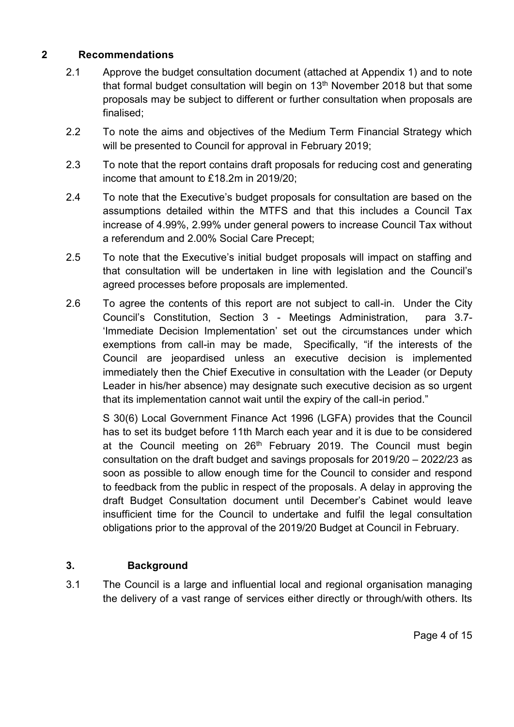#### **2 Recommendations**

- 2.1 Approve the budget consultation document (attached at Appendix 1) and to note that formal budget consultation will begin on 13<sup>th</sup> November 2018 but that some proposals may be subject to different or further consultation when proposals are finalised;
- 2.2 To note the aims and objectives of the Medium Term Financial Strategy which will be presented to Council for approval in February 2019;
- 2.3 To note that the report contains draft proposals for reducing cost and generating income that amount to £18.2m in 2019/20;
- 2.4 To note that the Executive's budget proposals for consultation are based on the assumptions detailed within the MTFS and that this includes a Council Tax increase of 4.99%, 2.99% under general powers to increase Council Tax without a referendum and 2.00% Social Care Precept;
- 2.5 To note that the Executive's initial budget proposals will impact on staffing and that consultation will be undertaken in line with legislation and the Council's agreed processes before proposals are implemented.
- 2.6 To agree the contents of this report are not subject to call-in. Under the City Council's Constitution, Section 3 - Meetings Administration, para 3.7- 'Immediate Decision Implementation' set out the circumstances under which exemptions from call-in may be made, Specifically, "if the interests of the Council are jeopardised unless an executive decision is implemented immediately then the Chief Executive in consultation with the Leader (or Deputy Leader in his/her absence) may designate such executive decision as so urgent that its implementation cannot wait until the expiry of the call-in period."

S 30(6) Local Government Finance Act 1996 (LGFA) provides that the Council has to set its budget before 11th March each year and it is due to be considered at the Council meeting on 26<sup>th</sup> February 2019. The Council must begin consultation on the draft budget and savings proposals for 2019/20 – 2022/23 as soon as possible to allow enough time for the Council to consider and respond to feedback from the public in respect of the proposals. A delay in approving the draft Budget Consultation document until December's Cabinet would leave insufficient time for the Council to undertake and fulfil the legal consultation obligations prior to the approval of the 2019/20 Budget at Council in February.

### **3. Background**

3.1 The Council is a large and influential local and regional organisation managing the delivery of a vast range of services either directly or through/with others. Its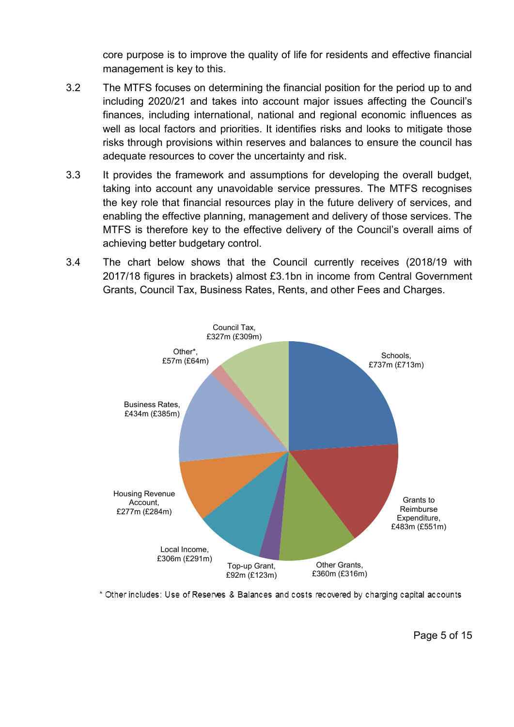core purpose is to improve the quality of life for residents and effective financial management is key to this.

- 3.2 The MTFS focuses on determining the financial position for the period up to and including 2020/21 and takes into account major issues affecting the Council's finances, including international, national and regional economic influences as well as local factors and priorities. It identifies risks and looks to mitigate those risks through provisions within reserves and balances to ensure the council has adequate resources to cover the uncertainty and risk.
- 3.3 It provides the framework and assumptions for developing the overall budget, taking into account any unavoidable service pressures. The MTFS recognises the key role that financial resources play in the future delivery of services, and enabling the effective planning, management and delivery of those services. The MTFS is therefore key to the effective delivery of the Council's overall aims of achieving better budgetary control.
- 3.4 The chart below shows that the Council currently receives (2018/19 with 2017/18 figures in brackets) almost £3.1bn in income from Central Government Grants, Council Tax, Business Rates, Rents, and other Fees and Charges.



\* Other includes: Use of Reserves & Balances and costs recovered by charging capital accounts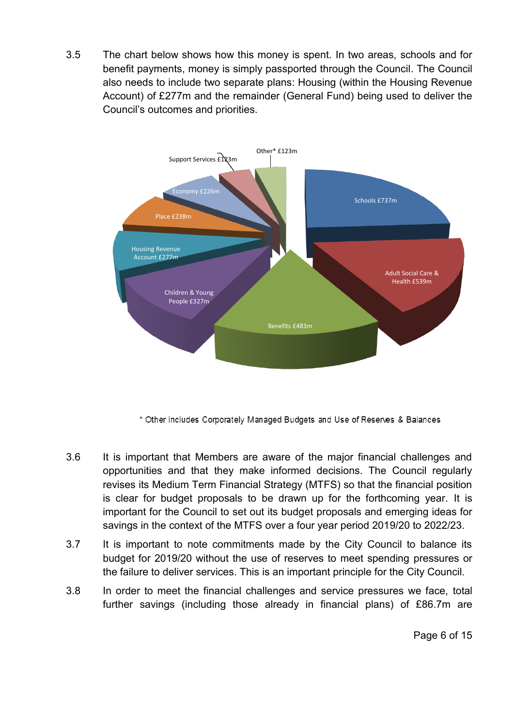3.5 The chart below shows how this money is spent. In two areas, schools and for benefit payments, money is simply passported through the Council. The Council also needs to include two separate plans: Housing (within the Housing Revenue Account) of £277m and the remainder (General Fund) being used to deliver the Council's outcomes and priorities.



\* Other includes Corporately Managed Budgets and Use of Reserves & Balances

- 3.6 It is important that Members are aware of the major financial challenges and opportunities and that they make informed decisions. The Council regularly revises its Medium Term Financial Strategy (MTFS) so that the financial position is clear for budget proposals to be drawn up for the forthcoming year. It is important for the Council to set out its budget proposals and emerging ideas for savings in the context of the MTFS over a four year period 2019/20 to 2022/23.
- 3.7 It is important to note commitments made by the City Council to balance its budget for 2019/20 without the use of reserves to meet spending pressures or the failure to deliver services. This is an important principle for the City Council.
- 3.8 In order to meet the financial challenges and service pressures we face, total further savings (including those already in financial plans) of £86.7m are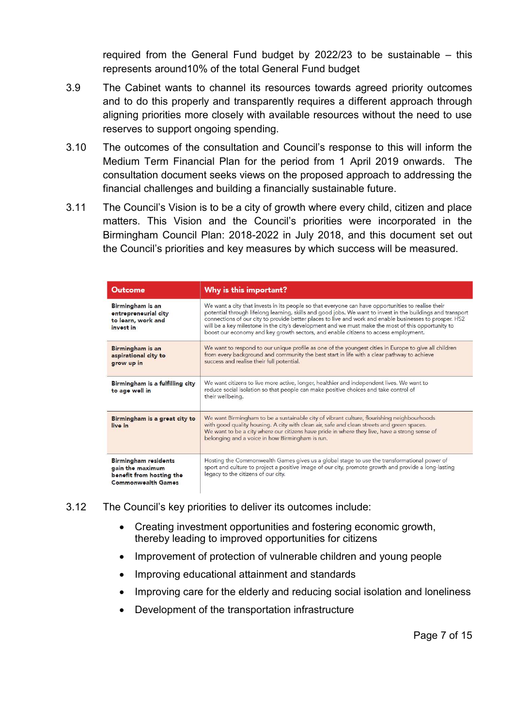required from the General Fund budget by 2022/23 to be sustainable – this represents around10% of the total General Fund budget

- 3.9 The Cabinet wants to channel its resources towards agreed priority outcomes and to do this properly and transparently requires a different approach through aligning priorities more closely with available resources without the need to use reserves to support ongoing spending.
- 3.10 The outcomes of the consultation and Council's response to this will inform the Medium Term Financial Plan for the period from 1 April 2019 onwards. The consultation document seeks views on the proposed approach to addressing the financial challenges and building a financially sustainable future.
- 3.11 The Council's Vision is to be a city of growth where every child, citizen and place matters. This Vision and the Council's priorities were incorporated in the Birmingham Council Plan: 2018-2022 in July 2018, and this document set out the Council's priorities and key measures by which success will be measured.

| <b>Outcome</b>                                                                                           | Why is this important?                                                                                                                                                                                                                                                                                                                                                                                                                                                                                                    |
|----------------------------------------------------------------------------------------------------------|---------------------------------------------------------------------------------------------------------------------------------------------------------------------------------------------------------------------------------------------------------------------------------------------------------------------------------------------------------------------------------------------------------------------------------------------------------------------------------------------------------------------------|
| Birmingham is an<br>entrepreneurial city<br>to learn, work and<br>invest in                              | We want a city that invests in its people so that everyone can have opportunities to realise their<br>potential through lifelong learning, skills and good jobs. We want to invest in the buildings and transport<br>connections of our city to provide better places to live and work and enable businesses to prosper. HS2<br>will be a key milestone in the city's development and we must make the most of this opportunity to<br>boost our economy and key growth sectors, and enable citizens to access employment. |
| Birmingham is an<br>aspirational city to<br>grow up in                                                   | We want to respond to our unique profile as one of the youngest cities in Europe to give all children<br>from every background and community the best start in life with a clear pathway to achieve<br>success and realise their full potential.                                                                                                                                                                                                                                                                          |
| Birmingham is a fulfilling city<br>to age well in                                                        | We want citizens to live more active, longer, healthier and independent lives. We want to<br>reduce social isolation so that people can make positive choices and take control of<br>their wellbeing.                                                                                                                                                                                                                                                                                                                     |
| Birmingham is a great city to<br>live in                                                                 | We want Birmingham to be a sustainable city of vibrant culture, flourishing neighbourhoods<br>with good quality housing. A city with clean air, safe and clean streets and green spaces.<br>We want to be a city where our citizens have pride in where they live, have a strong sense of<br>belonging and a voice in how Birmingham is run.                                                                                                                                                                              |
| <b>Birmingham residents</b><br>gain the maximum<br>benefit from hosting the<br><b>Commonwealth Games</b> | Hosting the Commonwealth Games gives us a global stage to use the transformational power of<br>sport and culture to project a positive image of our city, promote growth and provide a long-lasting<br>legacy to the citizens of our city.                                                                                                                                                                                                                                                                                |

#### 3.12 The Council's key priorities to deliver its outcomes include:

- Creating investment opportunities and fostering economic growth, thereby leading to improved opportunities for citizens
- Improvement of protection of vulnerable children and young people
- Improving educational attainment and standards
- Improving care for the elderly and reducing social isolation and loneliness
- Development of the transportation infrastructure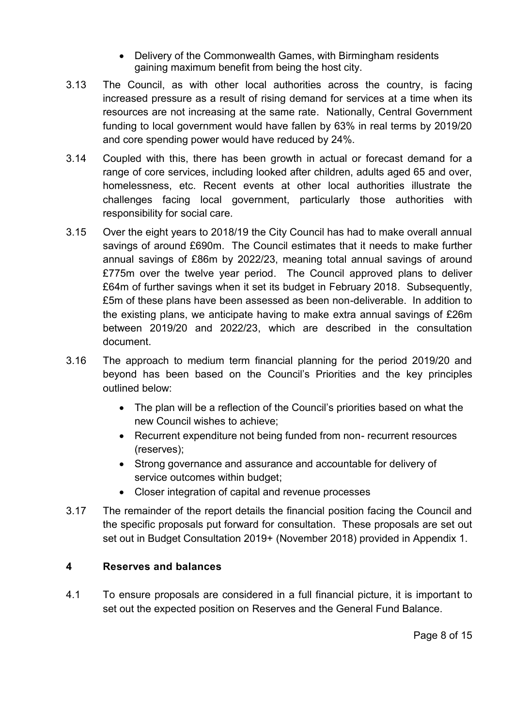- Delivery of the Commonwealth Games, with Birmingham residents gaining maximum benefit from being the host city.
- 3.13 The Council, as with other local authorities across the country, is facing increased pressure as a result of rising demand for services at a time when its resources are not increasing at the same rate. Nationally, Central Government funding to local government would have fallen by 63% in real terms by 2019/20 and core spending power would have reduced by 24%.
- 3.14 Coupled with this, there has been growth in actual or forecast demand for a range of core services, including looked after children, adults aged 65 and over, homelessness, etc. Recent events at other local authorities illustrate the challenges facing local government, particularly those authorities with responsibility for social care.
- 3.15 Over the eight years to 2018/19 the City Council has had to make overall annual savings of around £690m. The Council estimates that it needs to make further annual savings of £86m by 2022/23, meaning total annual savings of around £775m over the twelve year period. The Council approved plans to deliver £64m of further savings when it set its budget in February 2018. Subsequently, £5m of these plans have been assessed as been non-deliverable. In addition to the existing plans, we anticipate having to make extra annual savings of £26m between 2019/20 and 2022/23, which are described in the consultation document.
- 3.16 The approach to medium term financial planning for the period 2019/20 and beyond has been based on the Council's Priorities and the key principles outlined below:
	- The plan will be a reflection of the Council's priorities based on what the new Council wishes to achieve;
	- Recurrent expenditure not being funded from non- recurrent resources (reserves);
	- Strong governance and assurance and accountable for delivery of service outcomes within budget;
	- Closer integration of capital and revenue processes
- 3.17 The remainder of the report details the financial position facing the Council and the specific proposals put forward for consultation. These proposals are set out set out in Budget Consultation 2019+ (November 2018) provided in Appendix 1.

### **4 Reserves and balances**

4.1 To ensure proposals are considered in a full financial picture, it is important to set out the expected position on Reserves and the General Fund Balance.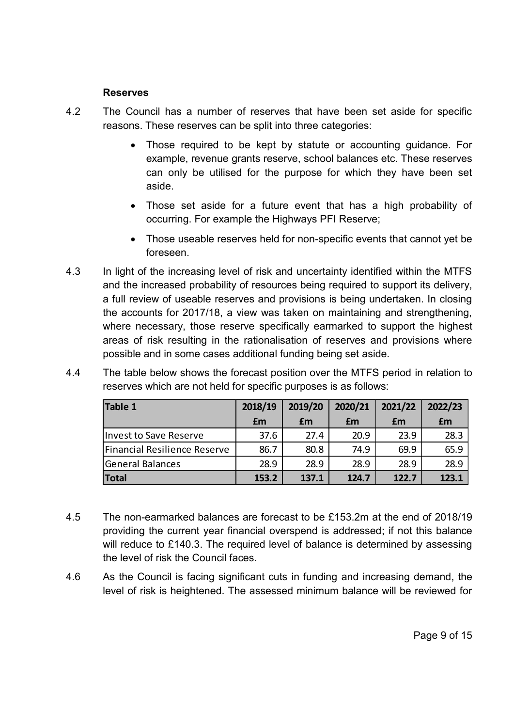#### **Reserves**

- 4.2 The Council has a number of reserves that have been set aside for specific reasons. These reserves can be split into three categories:
	- Those required to be kept by statute or accounting guidance. For example, revenue grants reserve, school balances etc. These reserves can only be utilised for the purpose for which they have been set aside.
	- Those set aside for a future event that has a high probability of occurring. For example the Highways PFI Reserve;
	- Those useable reserves held for non-specific events that cannot yet be foreseen.
- 4.3 In light of the increasing level of risk and uncertainty identified within the MTFS and the increased probability of resources being required to support its delivery, a full review of useable reserves and provisions is being undertaken. In closing the accounts for 2017/18, a view was taken on maintaining and strengthening, where necessary, those reserve specifically earmarked to support the highest areas of risk resulting in the rationalisation of reserves and provisions where possible and in some cases additional funding being set aside.

| reserves which are not held for specific purposes is as follows: |    |                                                 |    |    |    |  |
|------------------------------------------------------------------|----|-------------------------------------------------|----|----|----|--|
| Table 1                                                          |    | 2018/19   2019/20   2020/21   2021/22   2022/23 |    |    |    |  |
|                                                                  | £m | £m                                              | £m | £m | £m |  |

Financial Resilience Reserve  $\begin{array}{|c|c|c|c|c|c|c|c|c|} \hline \end{array}$  80.8  $\begin{array}{|c|c|c|c|c|c|c|c|} \hline \end{array}$  74.9  $\begin{array}{|c|c|c|c|c|c|c|c|c|} \hline \end{array}$  69.9

Invest to Save Reserve 37.6 27.4 20.9 23.9 28.3

| 4.4 | The table below shows the forecast position over the MTFS period in relation to |
|-----|---------------------------------------------------------------------------------|
|     | reserves which are not held for specific purposes is as follows:                |

|    | <b>General Balances</b>                                                     | 28.9  | 28.9  | 28.9  | 28.9  | 28.9  |  |
|----|-----------------------------------------------------------------------------|-------|-------|-------|-------|-------|--|
|    | <b>Total</b>                                                                | 153.2 | 137.1 | 124.7 | 122.7 | 123.1 |  |
|    |                                                                             |       |       |       |       |       |  |
|    |                                                                             |       |       |       |       |       |  |
| 45 | The non-earmarked balances are forecast to be £153.2m at the end of 2018/19 |       |       |       |       |       |  |

- providing the current year financial overspend is addressed; if not this balance will reduce to £140.3. The required level of balance is determined by assessing the level of risk the Council faces.
- 4.6 As the Council is facing significant cuts in funding and increasing demand, the level of risk is heightened. The assessed minimum balance will be reviewed for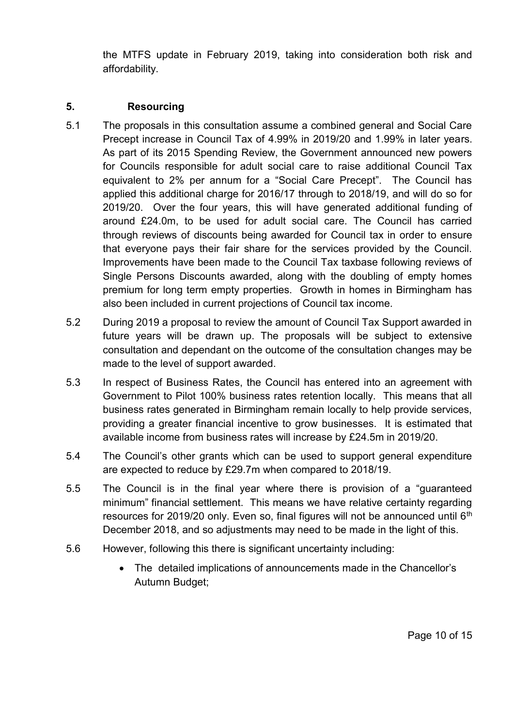the MTFS update in February 2019, taking into consideration both risk and affordability.

## **5. Resourcing**

- 5.1 The proposals in this consultation assume a combined general and Social Care Precept increase in Council Tax of 4.99% in 2019/20 and 1.99% in later years. As part of its 2015 Spending Review, the Government announced new powers for Councils responsible for adult social care to raise additional Council Tax equivalent to 2% per annum for a "Social Care Precept". The Council has applied this additional charge for 2016/17 through to 2018/19, and will do so for 2019/20. Over the four years, this will have generated additional funding of around £24.0m, to be used for adult social care. The Council has carried through reviews of discounts being awarded for Council tax in order to ensure that everyone pays their fair share for the services provided by the Council. Improvements have been made to the Council Tax taxbase following reviews of Single Persons Discounts awarded, along with the doubling of empty homes premium for long term empty properties. Growth in homes in Birmingham has also been included in current projections of Council tax income.
- 5.2 During 2019 a proposal to review the amount of Council Tax Support awarded in future years will be drawn up. The proposals will be subject to extensive consultation and dependant on the outcome of the consultation changes may be made to the level of support awarded.
- 5.3 In respect of Business Rates, the Council has entered into an agreement with Government to Pilot 100% business rates retention locally. This means that all business rates generated in Birmingham remain locally to help provide services, providing a greater financial incentive to grow businesses. It is estimated that available income from business rates will increase by £24.5m in 2019/20.
- 5.4 The Council's other grants which can be used to support general expenditure are expected to reduce by £29.7m when compared to 2018/19.
- 5.5 The Council is in the final year where there is provision of a "guaranteed minimum" financial settlement. This means we have relative certainty regarding resources for 2019/20 only. Even so, final figures will not be announced until  $6<sup>th</sup>$ December 2018, and so adjustments may need to be made in the light of this.
- 5.6 However, following this there is significant uncertainty including:
	- The detailed implications of announcements made in the Chancellor's Autumn Budget;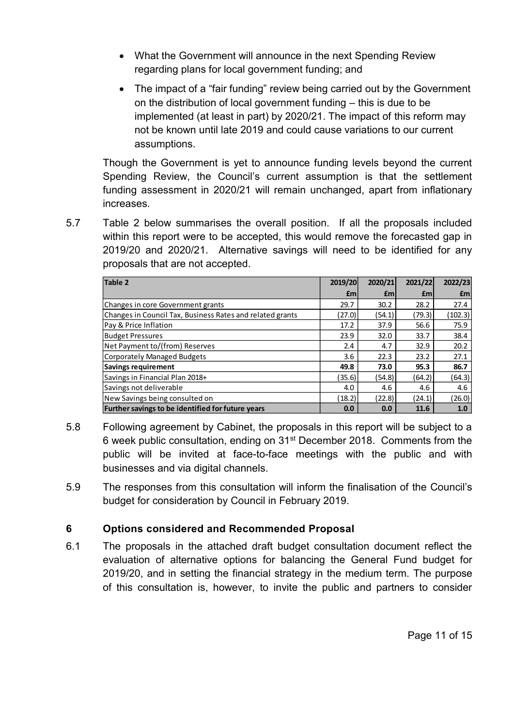- What the Government will announce in the next Spending Review regarding plans for local government funding; and
- The impact of a "fair funding" review being carried out by the Government on the distribution of local government funding – this is due to be implemented (at least in part) by 2020/21. The impact of this reform may not be known until late 2019 and could cause variations to our current assumptions.

Though the Government is yet to announce funding levels beyond the current Spending Review, the Council's current assumption is that the settlement funding assessment in 2020/21 will remain unchanged, apart from inflationary increases.

5.7 Table 2 below summarises the overall position. If all the proposals included within this report were to be accepted, this would remove the forecasted gap in 2019/20 and 2020/21. Alternative savings will need to be identified for any proposals that are not accepted.

| Table 2                                                   | 2019/20    | 2020/21    | 2021/22    | 2022/23 |
|-----------------------------------------------------------|------------|------------|------------|---------|
|                                                           | <b>f</b> m | <b>f</b> m | <b>f</b> m | £m      |
| Changes in core Government grants                         | 29.7       | 30.2       | 28.2       | 27.4    |
| Changes in Council Tax, Business Rates and related grants | (27.0)     | (54.1)     | (79.3)     | (102.3) |
| Pay & Price Inflation                                     | 17.2       | 37.9       | 56.6       | 75.9    |
| <b>Budget Pressures</b>                                   | 23.9       | 32.0       | 33.7       | 38.4    |
| Net Payment to/(from) Reserves                            | 2.4        | 4.7        | 32.9       | 20.2    |
| Corporately Managed Budgets                               | 3.6        | 22.3       | 23.2       | 27.1    |
| Savings requirement                                       | 49.8       | 73.0       | 95.3       | 86.7    |
| Savings in Financial Plan 2018+                           | (35.6)     | (54.8)     | (64.2)     | (64.3)  |
| Savings not deliverable                                   | 4.0        | 4.6        | 4.6        | 4.6     |
| New Savings being consulted on                            | (18.2)     | (22.8)     | (24.1)     | (26.0)  |
| Further savings to be identified for future years         | 0.0        | 0.0        | 11.6       | 1.0     |

- 5.8 Following agreement by Cabinet, the proposals in this report will be subject to a 6 week public consultation, ending on 31st December 2018. Comments from the public will be invited at face-to-face meetings with the public and with businesses and via digital channels.
- 5.9 The responses from this consultation will inform the finalisation of the Council's budget for consideration by Council in February 2019.

# **6 Options considered and Recommended Proposal**

6.1 The proposals in the attached draft budget consultation document reflect the evaluation of alternative options for balancing the General Fund budget for 2019/20, and in setting the financial strategy in the medium term. The purpose of this consultation is, however, to invite the public and partners to consider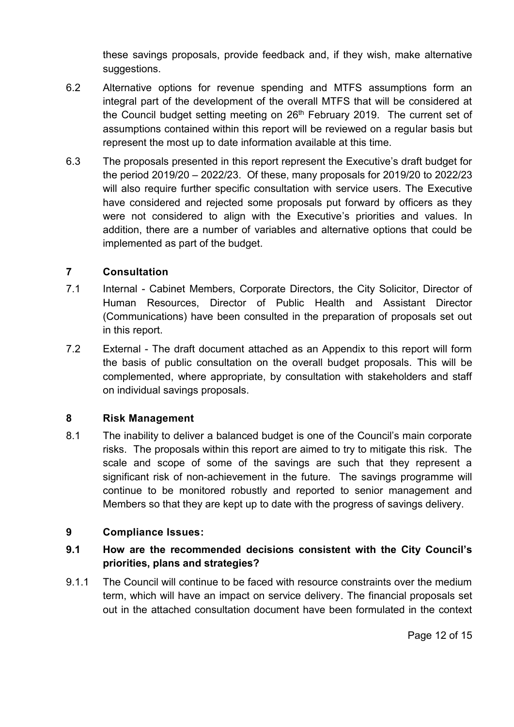these savings proposals, provide feedback and, if they wish, make alternative suggestions.

- 6.2 Alternative options for revenue spending and MTFS assumptions form an integral part of the development of the overall MTFS that will be considered at the Council budget setting meeting on 26<sup>th</sup> February 2019. The current set of assumptions contained within this report will be reviewed on a regular basis but represent the most up to date information available at this time.
- 6.3 The proposals presented in this report represent the Executive's draft budget for the period 2019/20 – 2022/23. Of these, many proposals for 2019/20 to 2022/23 will also require further specific consultation with service users. The Executive have considered and rejected some proposals put forward by officers as they were not considered to align with the Executive's priorities and values. In addition, there are a number of variables and alternative options that could be implemented as part of the budget.

### **7 Consultation**

- 7.1 Internal Cabinet Members, Corporate Directors, the City Solicitor, Director of Human Resources, Director of Public Health and Assistant Director (Communications) have been consulted in the preparation of proposals set out in this report.
- 7.2 External The draft document attached as an Appendix to this report will form the basis of public consultation on the overall budget proposals. This will be complemented, where appropriate, by consultation with stakeholders and staff on individual savings proposals.

### **8 Risk Management**

8.1 The inability to deliver a balanced budget is one of the Council's main corporate risks. The proposals within this report are aimed to try to mitigate this risk. The scale and scope of some of the savings are such that they represent a significant risk of non-achievement in the future. The savings programme will continue to be monitored robustly and reported to senior management and Members so that they are kept up to date with the progress of savings delivery.

### **9 Compliance Issues:**

## **9.1 How are the recommended decisions consistent with the City Council's priorities, plans and strategies?**

9.1.1 The Council will continue to be faced with resource constraints over the medium term, which will have an impact on service delivery. The financial proposals set out in the attached consultation document have been formulated in the context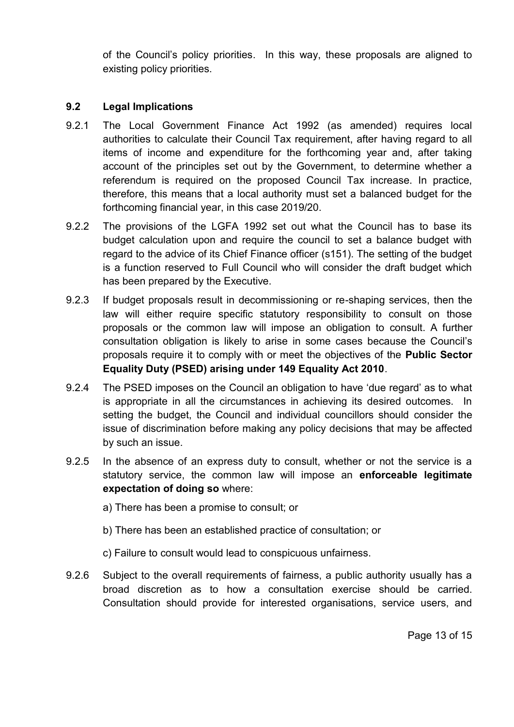of the Council's policy priorities. In this way, these proposals are aligned to existing policy priorities.

### **9.2 Legal Implications**

- 9.2.1 The Local Government Finance Act 1992 (as amended) requires local authorities to calculate their Council Tax requirement, after having regard to all items of income and expenditure for the forthcoming year and, after taking account of the principles set out by the Government, to determine whether a referendum is required on the proposed Council Tax increase. In practice, therefore, this means that a local authority must set a balanced budget for the forthcoming financial year, in this case 2019/20.
- 9.2.2 The provisions of the LGFA 1992 set out what the Council has to base its budget calculation upon and require the council to set a balance budget with regard to the advice of its Chief Finance officer (s151). The setting of the budget is a function reserved to Full Council who will consider the draft budget which has been prepared by the Executive.
- 9.2.3 If budget proposals result in decommissioning or re-shaping services, then the law will either require specific statutory responsibility to consult on those proposals or the common law will impose an obligation to consult. A further consultation obligation is likely to arise in some cases because the Council's proposals require it to comply with or meet the objectives of the **Public Sector Equality Duty (PSED) arising under 149 Equality Act 2010**.
- 9.2.4 The PSED imposes on the Council an obligation to have 'due regard' as to what is appropriate in all the circumstances in achieving its desired outcomes. In setting the budget, the Council and individual councillors should consider the issue of discrimination before making any policy decisions that may be affected by such an issue.
- 9.2.5 In the absence of an express duty to consult, whether or not the service is a statutory service, the common law will impose an **enforceable legitimate expectation of doing so** where:
	- a) There has been a promise to consult; or
	- b) There has been an established practice of consultation; or
	- c) Failure to consult would lead to conspicuous unfairness.
- 9.2.6 Subject to the overall requirements of fairness, a public authority usually has a broad discretion as to how a consultation exercise should be carried. Consultation should provide for interested organisations, service users, and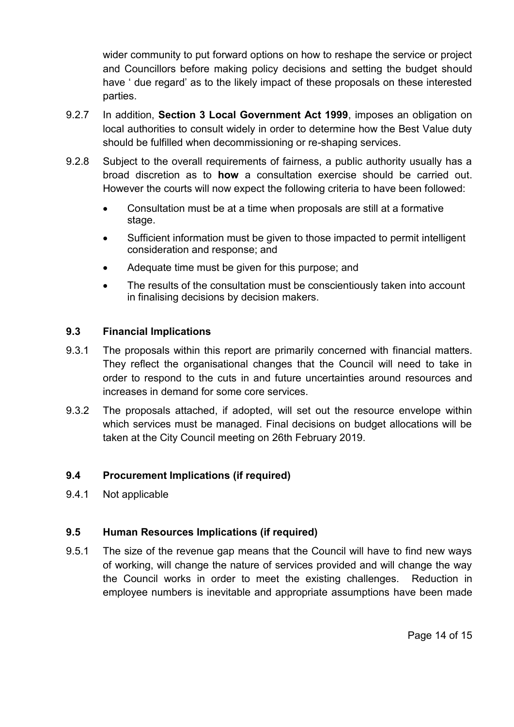wider community to put forward options on how to reshape the service or project and Councillors before making policy decisions and setting the budget should have ' due regard' as to the likely impact of these proposals on these interested parties.

- 9.2.7 In addition, **Section 3 Local Government Act 1999**, imposes an obligation on local authorities to consult widely in order to determine how the Best Value duty should be fulfilled when decommissioning or re-shaping services.
- 9.2.8 Subject to the overall requirements of fairness, a public authority usually has a broad discretion as to **how** a consultation exercise should be carried out. However the courts will now expect the following criteria to have been followed:
	- Consultation must be at a time when proposals are still at a formative stage.
	- Sufficient information must be given to those impacted to permit intelligent consideration and response; and
	- Adequate time must be given for this purpose; and
	- The results of the consultation must be conscientiously taken into account in finalising decisions by decision makers.

### **9.3 Financial Implications**

- 9.3.1 The proposals within this report are primarily concerned with financial matters. They reflect the organisational changes that the Council will need to take in order to respond to the cuts in and future uncertainties around resources and increases in demand for some core services.
- 9.3.2 The proposals attached, if adopted, will set out the resource envelope within which services must be managed. Final decisions on budget allocations will be taken at the City Council meeting on 26th February 2019.

### **9.4 Procurement Implications (if required)**

9.4.1 Not applicable

### **9.5 Human Resources Implications (if required)**

9.5.1 The size of the revenue gap means that the Council will have to find new ways of working, will change the nature of services provided and will change the way the Council works in order to meet the existing challenges. Reduction in employee numbers is inevitable and appropriate assumptions have been made